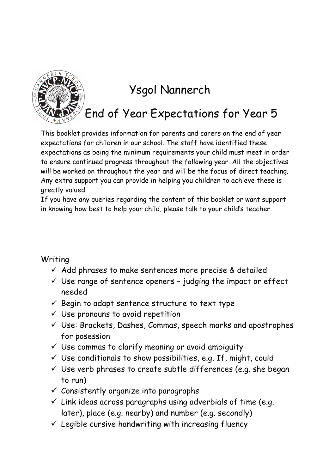

## Ysgol Nannerch

End of Year Expectations for Year 5

This booklet provides information for parents and carers on the end of year expectations for children in our school. The staff have identified these expectations as being the minimum requirements your child must meet in order to ensure continued progress throughout the following year. All the objectives will be worked on throughout the year and will be the focus of direct teaching. Any extra support you can provide in helping you children to achieve these is greatly valued.

If you have any queries regarding the content of this booklet or want support in knowing how best to help your child, please talk to your child's teacher.

## Writing

- $\checkmark$  Add phrases to make sentences more precise & detailed
- $\checkmark$  Use range of sentence openers judging the impact or effect needed
- $\checkmark$  Begin to adapt sentence structure to text type
- $\checkmark$  Use pronouns to avoid repetition
- $\checkmark$  Use: Brackets, Dashes, Commas, speech marks and apostrophes for posession
- $\checkmark$  Use commas to clarify meaning or avoid ambiguity
- $\checkmark$  Use conditionals to show possibilities, e.g. If, might, could
- $\checkmark$  Use verb phrases to create subtle differences (e.g. she began to run)
- $\checkmark$  Consistently organize into paragraphs
- $\checkmark$  Link ideas across paragraphs using adverbials of time (e.g. later), place (e.g. nearby) and number (e.g. secondly)
- $\checkmark$  Legible cursive handwriting with increasing fluency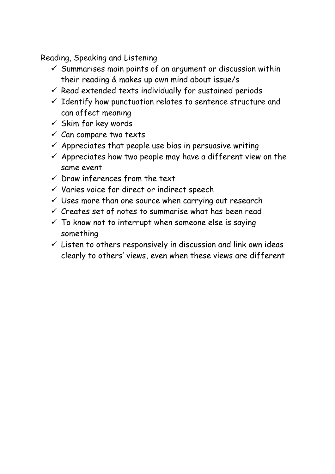Reading, Speaking and Listening

- $\checkmark$  Summarises main points of an argument or discussion within their reading & makes up own mind about issue/s
- $\checkmark$  Read extended texts individually for sustained periods
- $\checkmark$  Identify how punctuation relates to sentence structure and can affect meaning
- $\checkmark$  Skim for key words
- $\checkmark$  Can compare two texts
- $\checkmark$  Appreciates that people use bias in persuasive writing
- $\checkmark$  Appreciates how two people may have a different view on the same event
- $\checkmark$  Draw inferences from the text
- $\checkmark$  Varies voice for direct or indirect speech
- $\checkmark$  Uses more than one source when carrying out research
- $\checkmark$  Creates set of notes to summarise what has been read
- $\checkmark$  To know not to interrupt when someone else is saying something
- $\checkmark$  Listen to others responsively in discussion and link own ideas clearly to others' views, even when these views are different